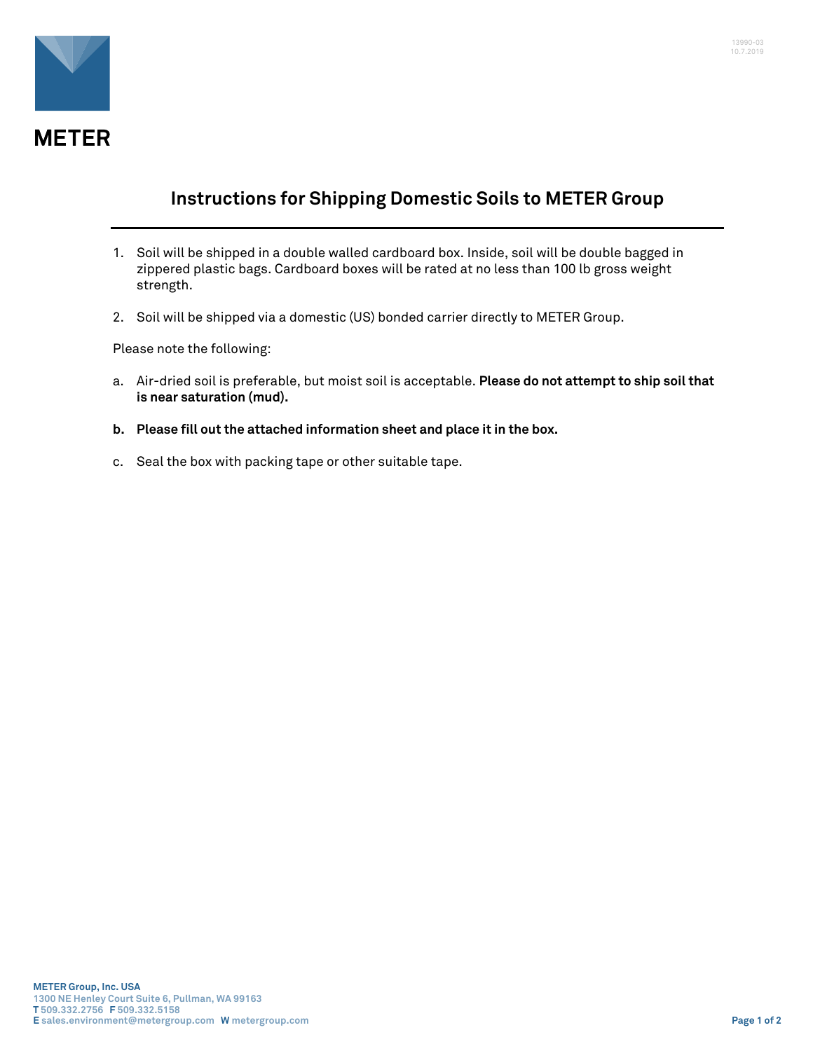

## **Instructions for Shipping Domestic Soils to METER Group**

- 1. Soil will be shipped in a double walled cardboard box. Inside, soil will be double bagged in zippered plastic bags. Cardboard boxes will be rated at no less than 100 lb gross weight strength.
- 2. Soil will be shipped via a domestic (US) bonded carrier directly to METER Group.

Please note the following:

- a. Air-dried soil is preferable, but moist soil is acceptable. **Please do not attempt to ship soil that is near saturation (mud).**
- **b. Please fill out the attached information sheet and place it in the box.**
- c. Seal the box with packing tape or other suitable tape.